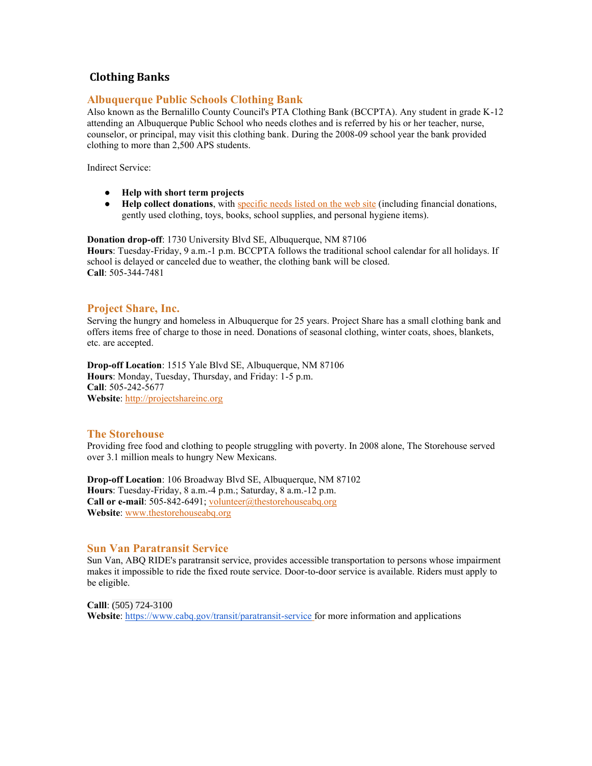## **Clothing Banks**

#### **Albuquerque Public Schools Clothing Bank**

Also known as the Bernalillo County Council's PTA Clothing Bank (BCCPTA). Any student in grade K-12 attending an Albuquerque Public School who needs clothes and is referred by his or her teacher, nurse, counselor, or principal, may visit this clothing bank. During the 2008-09 school year the bank provided clothing to more than 2,500 APS students.

Indirect Service:

- **Help with short term projects**
- **Help collect donations**, wit[h specific needs listed on the web site](http://www.bccpta.org/site/content/view/12/44/) (including financial donations, gently used clothing, toys, books, school supplies, and personal hygiene items).

**Donation drop-off**: 1730 University Blvd SE, Albuquerque, NM 87106 **Hours**: Tuesday-Friday, 9 a.m.-1 p.m. BCCPTA follows the traditional school calendar for all holidays. If school is delayed or canceled due to weather, the clothing bank will be closed. **Call**: 505-344-7481

#### **Project Share, Inc.**

Serving the hungry and homeless in Albuquerque for 25 years. Project Share has a small clothing bank and offers items free of charge to those in need. Donations of seasonal clothing, winter coats, shoes, blankets, etc. are accepted.

**Drop-off Location**: 1515 Yale Blvd SE, Albuquerque, NM 87106 **Hours**: Monday, Tuesday, Thursday, and Friday: 1-5 p.m. **Call**: 505-242-5677 **Website**[: http://projectshareinc.org](http://projectshareinc.org/)

#### **The Storehouse**

Providing free food and clothing to people struggling with poverty. In 2008 alone, The Storehouse served over 3.1 million meals to hungry New Mexicans.

**Drop-off Location**: 106 Broadway Blvd SE, Albuquerque, NM 87102 **Hours**: Tuesday-Friday, 8 a.m.-4 p.m.; Saturday, 8 a.m.-12 p.m. **Call or e-mail**: 505-842-6491; [volunteer@thestorehouseabq.org](mailto:volunteer@thestorehouseabq.org) **Website**[: www.thestorehouseabq.org](http://www.thestorehouseabq.org/volunteer.asp)

#### **Sun Van Paratransit Service**

Sun Van, ABQ RIDE's paratransit service, provides accessible transportation to persons whose impairment makes it impossible to ride the fixed route service. Door-to-door service is available. Riders must apply to be eligible.

**Calll**: (505) 724-3100 **Website**[: https://www.cabq.gov/transit/paratransit-service](https://www.cabq.gov/transit/paratransit-service) for more information and applications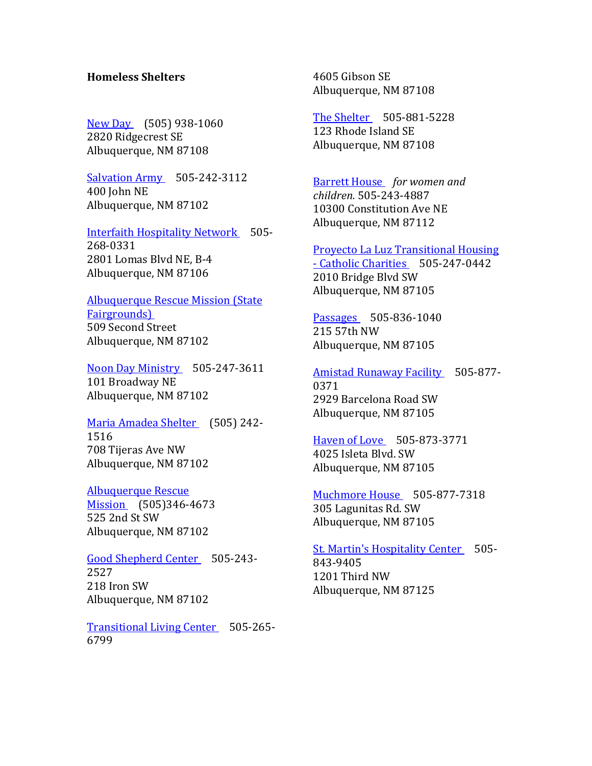# **Homeless Shelters**

[New Day](http://www.homelessshelterdirectory.org/cgi-bin/id/shelter.cgi?shelter=8963) (505) 938-1060 2820 Ridgecrest SE Albuquerque, NM 87108

[Salvation Army](http://www.homelessshelterdirectory.org/cgi-bin/id/shelter.cgi?shelter=8967) 505-242-3112 400 John NE Albuquerque, NM 87102

[Interfaith Hospitality Network](http://www.homelessshelterdirectory.org/cgi-bin/id/shelter.cgi?shelter=8959) 505- 268-0331 2801 Lomas Blvd NE, B-4 Albuquerque, NM 87106

[Albuquerque Rescue Mission \(State](http://www.homelessshelterdirectory.org/cgi-bin/id/shelter.cgi?shelter=8973)  [Fairgrounds\)](http://www.homelessshelterdirectory.org/cgi-bin/id/shelter.cgi?shelter=8973)  509 Second Street Albuquerque, NM 87102

[Noon Day Ministry](http://www.homelessshelterdirectory.org/cgi-bin/id/shelter.cgi?shelter=8964) 505-247-3611 101 Broadway NE Albuquerque, NM 87102

[Maria Amadea Shelter](http://www.homelessshelterdirectory.org/cgi-bin/id/shelter.cgi?shelter=8961) (505) 242- 1516 708 Tijeras Ave NW Albuquerque, NM 87102

[Albuquerque Rescue](http://www.homelessshelterdirectory.org/cgi-bin/id/shelter.cgi?shelter=8951)  [Mission](http://www.homelessshelterdirectory.org/cgi-bin/id/shelter.cgi?shelter=8951) (505)346-4673 525 2nd St SW Albuquerque, NM 87102

[Good Shepherd Center](http://www.homelessshelterdirectory.org/cgi-bin/id/shelter.cgi?shelter=8956) 505-243- 2527 218 Iron SW Albuquerque, NM 87102

[Transitional Living Center](http://www.homelessshelterdirectory.org/cgi-bin/id/shelter.cgi?shelter=8971) 505-265-6799

4605 Gibson SE Albuquerque, NM 87108

[The Shelter](http://www.homelessshelterdirectory.org/cgi-bin/id/shelter.cgi?shelter=8970) 505-881-5228 123 Rhode Island SE Albuquerque, NM 87108

[Barrett House](http://www.homelessshelterdirectory.org/cgi-bin/id/shelter.cgi?shelter=8953) *for women and children.* 505-243-4887 10300 Constitution Ave NE Albuquerque, NM 87112

[Proyecto La Luz Transitional Housing](http://www.homelessshelterdirectory.org/cgi-bin/id/shelter.cgi?shelter=8966)  - [Catholic Charities](http://www.homelessshelterdirectory.org/cgi-bin/id/shelter.cgi?shelter=8966) 505-247-0442 2010 Bridge Blvd SW Albuquerque, NM 87105

[Passages](http://www.homelessshelterdirectory.org/cgi-bin/id/shelter.cgi?shelter=8965) 505-836-1040 215 57th NW Albuquerque, NM 87105

[Amistad Runaway Facility](http://www.homelessshelterdirectory.org/cgi-bin/id/shelter.cgi?shelter=8952) 505-877-0371 2929 Barcelona Road SW Albuquerque, NM 87105

[Haven of Love](http://www.homelessshelterdirectory.org/cgi-bin/id/shelter.cgi?shelter=8958) 505-873-3771 4025 Isleta Blvd. SW Albuquerque, NM 87105

[Muchmore House](http://www.homelessshelterdirectory.org/cgi-bin/id/shelter.cgi?shelter=8962) 505-877-7318 305 Lagunitas Rd. SW Albuquerque, NM 87105

[St. Martin's Hospitality Center](http://www.homelessshelterdirectory.org/cgi-bin/id/shelter.cgi?shelter=8969) 505-843-9405 1201 Third NW Albuquerque, NM 87125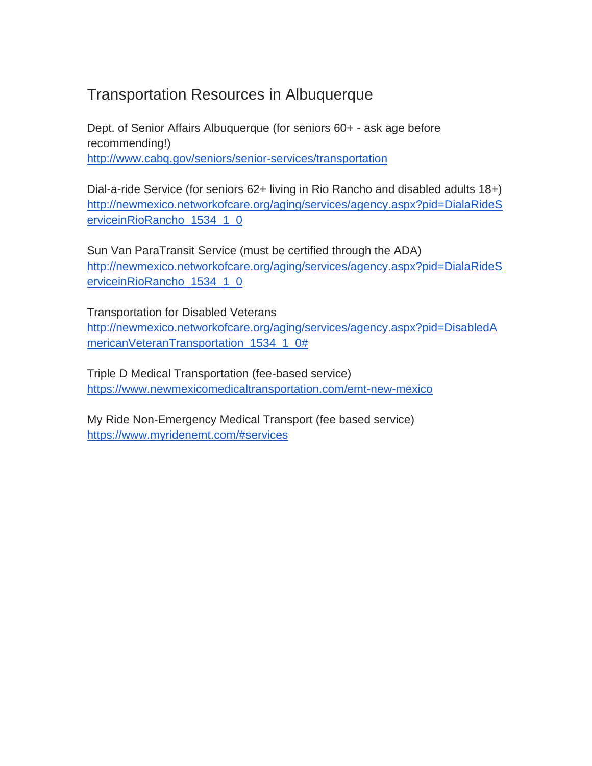# Transportation Resources in Albuquerque

Dept. of Senior Affairs Albuquerque (for seniors 60+ - ask age before recommending!) <http://www.cabq.gov/seniors/senior-services/transportation>

Dial-a-ride Service (for seniors 62+ living in Rio Rancho and disabled adults 18+) [http://newmexico.networkofcare.org/aging/services/agency.aspx?pid=DialaRideS](http://newmexico.networkofcare.org/aging/services/agency.aspx?pid=DialaRideServiceinRioRancho_1534_1_0) [erviceinRioRancho\\_1534\\_1\\_0](http://newmexico.networkofcare.org/aging/services/agency.aspx?pid=DialaRideServiceinRioRancho_1534_1_0)

Sun Van ParaTransit Service (must be certified through the ADA) [http://newmexico.networkofcare.org/aging/services/agency.aspx?pid=DialaRideS](http://newmexico.networkofcare.org/aging/services/agency.aspx?pid=DialaRideServiceinRioRancho_1534_1_0) [erviceinRioRancho\\_1534\\_1\\_0](http://newmexico.networkofcare.org/aging/services/agency.aspx?pid=DialaRideServiceinRioRancho_1534_1_0)

Transportation for Disabled Veterans [http://newmexico.networkofcare.org/aging/services/agency.aspx?pid=DisabledA](http://newmexico.networkofcare.org/aging/services/agency.aspx?pid=DisabledAmericanVeteranTransportation_1534_1_0) [mericanVeteranTransportation\\_1534\\_1\\_0#](http://newmexico.networkofcare.org/aging/services/agency.aspx?pid=DisabledAmericanVeteranTransportation_1534_1_0)

Triple D Medical Transportation (fee-based service) <https://www.newmexicomedicaltransportation.com/emt-new-mexico>

My Ride Non-Emergency Medical Transport (fee based service) <https://www.myridenemt.com/#services>